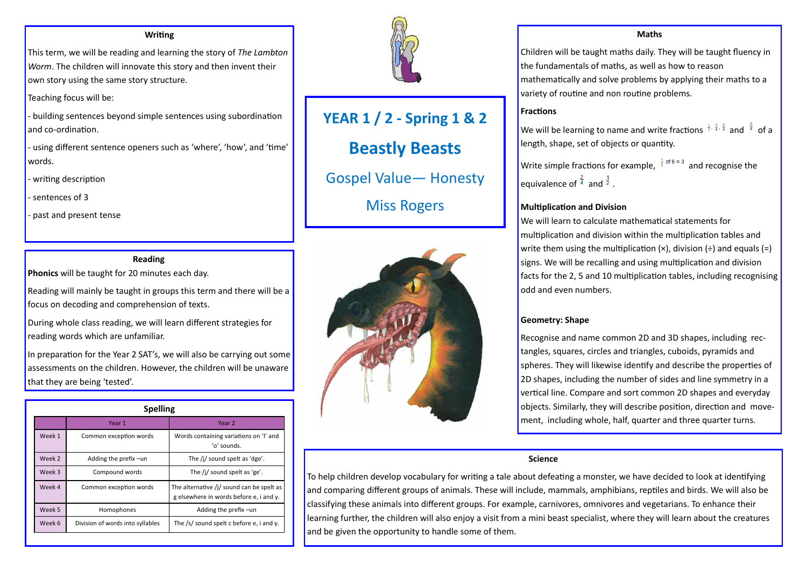**YEAR 1 / 2 - Spring 1 & 2 Beastly Beasts** Gospel Value— Honesty Miss Rogers



#### **Writing**

This term, we will be reading and learning the story of *The Lambton Worm*. The children will innovate this story and then invent their own story using the same story structure.

Teaching focus will be:

- building sentences beyond simple sentences using subordination and co-ordination.

- using different sentence openers such as 'where', 'how', and 'time' words.

- writing description

- sentences of 3

- past and present tense

### **Reading**

**Phonics** will be taught for 20 minutes each day.

Reading will mainly be taught in groups this term and there will be a focus on decoding and comprehension of texts.

We will be learning to name and write fractions  $\frac{1}{3}$ ,  $\frac{1}{4}$ ,  $\frac{2}{4}$  and  $\frac{3}{4}$  of a length, shape, set of objects or quantity.

equivalence of  $\frac{4}{4}$  and  $\frac{1}{2}$ .

During whole class reading, we will learn different strategies for reading words which are unfamiliar.

In preparation for the Year 2 SAT's, we will also be carrying out some assessments on the children. However, the children will be unaware that they are being 'tested'.

# **Maths**

Write simple fractions for example,  $\frac{1}{2}$  of 6 = 3 and recognise the

Children will be taught maths daily. They will be taught fluency in the fundamentals of maths, as well as how to reason mathematically and solve problems by applying their maths to a variety of routine and non routine problems.

#### **Fractions**

#### **Multiplication and Division**

We will learn to calculate mathematical statements for multiplication and division within the multiplication tables and write them using the multiplication  $(x)$ , division  $(\div)$  and equals  $(=)$ signs. We will be recalling and using multiplication and division facts for the 2, 5 and 10 multiplication tables, including recognising odd and even numbers.

#### **Geometry: Shape**

Recognise and name common 2D and 3D shapes, including rectangles, squares, circles and triangles, cuboids, pyramids and spheres. They will likewise identify and describe the properties of 2D shapes, including the number of sides and line symmetry in a vertical line. Compare and sort common 2D shapes and everyday objects. Similarly, they will describe position, direction and movement, including whole, half, quarter and three quarter turns.

| <b>Spelling</b> |                                  |                                                                                                |
|-----------------|----------------------------------|------------------------------------------------------------------------------------------------|
|                 | Year 1                           | Year 2                                                                                         |
| Week 1          | Common exception words           | Words containing variations on 'I' and<br>'o' sounds.                                          |
| Week 2          | Adding the prefix -un            | The $/j$ sound spelt as 'dge'.                                                                 |
| Week 3          | Compound words                   | The /j/ sound spelt as 'ge'.                                                                   |
| Week 4          | Common exception words           | The alternative $\frac{1}{2}$ sound can be spelt as<br>g elsewhere in words before e, i and y. |
| Week 5          | <b>Homophones</b>                | Adding the prefix-un                                                                           |
| Week 6          | Division of words into syllables | The /s/ sound spelt c before e, i and y.                                                       |



#### **Science**

To help children develop vocabulary for writing a tale about defeating a monster, we have decided to look at identifying and comparing different groups of animals. These will include, mammals, amphibians, reptiles and birds. We will also be classifying these animals into different groups. For example, carnivores, omnivores and vegetarians. To enhance their learning further, the children will also enjoy a visit from a mini beast specialist, where they will learn about the creatures and be given the opportunity to handle some of them.